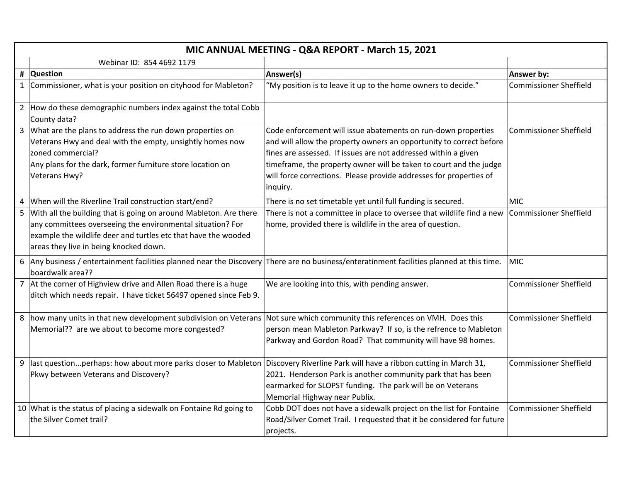| MIC ANNUAL MEETING - Q&A REPORT - March 15, 2021 |                                                                                                                                                                                                                                               |                                                                                                                                                                                                                                                                                                                                                                |                               |
|--------------------------------------------------|-----------------------------------------------------------------------------------------------------------------------------------------------------------------------------------------------------------------------------------------------|----------------------------------------------------------------------------------------------------------------------------------------------------------------------------------------------------------------------------------------------------------------------------------------------------------------------------------------------------------------|-------------------------------|
|                                                  | Webinar ID: 854 4692 1179                                                                                                                                                                                                                     |                                                                                                                                                                                                                                                                                                                                                                |                               |
|                                                  | # Question                                                                                                                                                                                                                                    | Answer(s)                                                                                                                                                                                                                                                                                                                                                      | Answer by:                    |
|                                                  | 1 Commissioner, what is your position on cityhood for Mableton?                                                                                                                                                                               | "My position is to leave it up to the home owners to decide."                                                                                                                                                                                                                                                                                                  | <b>Commissioner Sheffield</b> |
|                                                  | 2 How do these demographic numbers index against the total Cobb<br>County data?                                                                                                                                                               |                                                                                                                                                                                                                                                                                                                                                                |                               |
|                                                  | 3 What are the plans to address the run down properties on<br>Veterans Hwy and deal with the empty, unsightly homes now<br>zoned commercial?<br>Any plans for the dark, former furniture store location on<br>Veterans Hwy?                   | Code enforcement will issue abatements on run-down properties<br>and will allow the property owners an opportunity to correct before<br>fines are assessed. If issues are not addressed within a given<br>timeframe, the property owner will be taken to court and the judge<br>will force corrections. Please provide addresses for properties of<br>inquiry. | <b>Commissioner Sheffield</b> |
|                                                  | When will the Riverline Trail construction start/end?                                                                                                                                                                                         | There is no set timetable yet until full funding is secured.                                                                                                                                                                                                                                                                                                   | <b>MIC</b>                    |
|                                                  | 5 With all the building that is going on around Mableton. Are there<br>any committees overseeing the environmental situation? For<br>example the wildlife deer and turtles etc that have the wooded<br>areas they live in being knocked down. | There is not a committee in place to oversee that wildlife find a new<br>home, provided there is wildlife in the area of question.                                                                                                                                                                                                                             | <b>Commissioner Sheffield</b> |
|                                                  | boardwalk area??                                                                                                                                                                                                                              | 6 Any business / entertainment facilities planned near the Discovery There are no business/enteratinment facilities planned at this time.                                                                                                                                                                                                                      | <b>MIC</b>                    |
| $\overline{7}$                                   | At the corner of Highview drive and Allen Road there is a huge<br>ditch which needs repair. I have ticket 56497 opened since Feb 9.                                                                                                           | We are looking into this, with pending answer.                                                                                                                                                                                                                                                                                                                 | <b>Commissioner Sheffield</b> |
|                                                  | 8 how many units in that new development subdivision on Veterans<br>Memorial?? are we about to become more congested?                                                                                                                         | Not sure which community this references on VMH. Does this<br>person mean Mableton Parkway? If so, is the refrence to Mableton<br>Parkway and Gordon Road? That community will have 98 homes.                                                                                                                                                                  | <b>Commissioner Sheffield</b> |
|                                                  | 9  last questionperhaps: how about more parks closer to Mableton  Discovery Riverline Park will have a ribbon cutting in March 31,<br>Pkwy between Veterans and Discovery?                                                                    | 2021. Henderson Park is another community park that has been<br>earmarked for SLOPST funding. The park will be on Veterans<br>Memorial Highway near Publix.                                                                                                                                                                                                    | <b>Commissioner Sheffield</b> |
|                                                  | 10 What is the status of placing a sidewalk on Fontaine Rd going to<br>the Silver Comet trail?                                                                                                                                                | Cobb DOT does not have a sidewalk project on the list for Fontaine<br>Road/Silver Comet Trail. I requested that it be considered for future<br>projects.                                                                                                                                                                                                       | <b>Commissioner Sheffield</b> |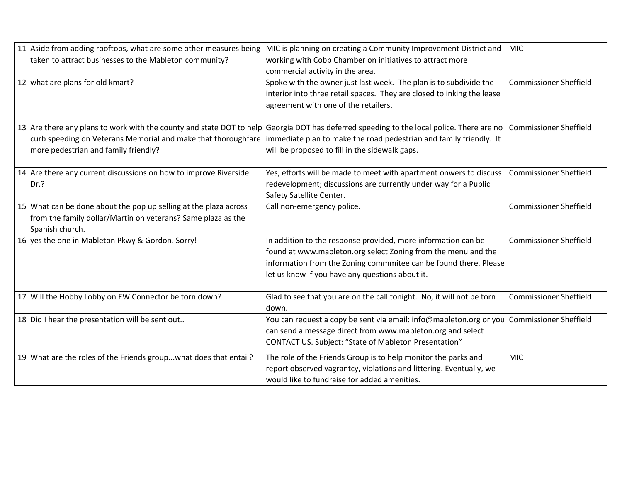| 11 Aside from adding rooftops, what are some other measures being                                                                                   | MIC is planning on creating a Community Improvement District and                                                                                                                                                 | MIC                           |
|-----------------------------------------------------------------------------------------------------------------------------------------------------|------------------------------------------------------------------------------------------------------------------------------------------------------------------------------------------------------------------|-------------------------------|
| taken to attract businesses to the Mableton community?                                                                                              | working with Cobb Chamber on initiatives to attract more                                                                                                                                                         |                               |
|                                                                                                                                                     | commercial activity in the area.                                                                                                                                                                                 |                               |
| 12 what are plans for old kmart?                                                                                                                    | Spoke with the owner just last week. The plan is to subdivide the                                                                                                                                                | <b>Commissioner Sheffield</b> |
|                                                                                                                                                     | interior into three retail spaces. They are closed to inking the lease                                                                                                                                           |                               |
|                                                                                                                                                     | agreement with one of the retailers.                                                                                                                                                                             |                               |
|                                                                                                                                                     | 13 Are there any plans to work with the county and state DOT to help Georgia DOT has deferred speeding to the local police. There are no                                                                         | <b>Commissioner Sheffield</b> |
|                                                                                                                                                     | curb speeding on Veterans Memorial and make that thoroughfare  immediate plan to make the road pedestrian and family friendly. It                                                                                |                               |
| more pedestrian and family friendly?                                                                                                                | will be proposed to fill in the sidewalk gaps.                                                                                                                                                                   |                               |
| 14 Are there any current discussions on how to improve Riverside                                                                                    | Yes, efforts will be made to meet with apartment onwers to discuss                                                                                                                                               | <b>Commissioner Sheffield</b> |
| Dr.?                                                                                                                                                | redevelopment; discussions are currently under way for a Public                                                                                                                                                  |                               |
|                                                                                                                                                     | Safety Satellite Center.                                                                                                                                                                                         |                               |
| 15 What can be done about the pop up selling at the plaza across<br>from the family dollar/Martin on veterans? Same plaza as the<br>Spanish church. | Call non-emergency police.                                                                                                                                                                                       | <b>Commissioner Sheffield</b> |
| 16 yes the one in Mableton Pkwy & Gordon. Sorry!                                                                                                    | In addition to the response provided, more information can be                                                                                                                                                    | <b>Commissioner Sheffield</b> |
|                                                                                                                                                     | found at www.mableton.org select Zoning from the menu and the                                                                                                                                                    |                               |
|                                                                                                                                                     | information from the Zoning commmitee can be found there. Please                                                                                                                                                 |                               |
|                                                                                                                                                     | let us know if you have any questions about it.                                                                                                                                                                  |                               |
| 17 Will the Hobby Lobby on EW Connector be torn down?                                                                                               | Glad to see that you are on the call tonight. No, it will not be torn<br>down.                                                                                                                                   | <b>Commissioner Sheffield</b> |
| 18 Did I hear the presentation will be sent out                                                                                                     | You can request a copy be sent via email: info@mableton.org or you Commissioner Sheffield<br>can send a message direct from www.mableton.org and select<br>CONTACT US. Subject: "State of Mableton Presentation" |                               |
| 19 What are the roles of the Friends group what does that entail?                                                                                   | The role of the Friends Group is to help monitor the parks and<br>report observed vagrantcy, violations and littering. Eventually, we<br>would like to fundraise for added amenities.                            | <b>MIC</b>                    |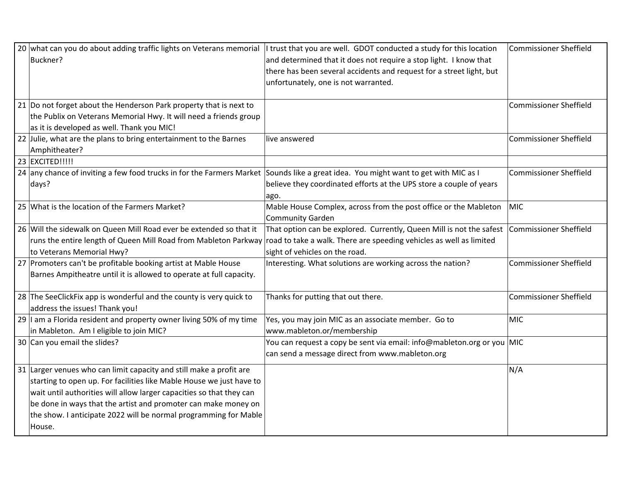| 20 what can you do about adding traffic lights on Veterans memorial<br>Buckner?                                                                                                                                                                                                                                                                                     | I trust that you are well. GDOT conducted a study for this location<br>and determined that it does not require a stop light. I know that<br>there has been several accidents and request for a street light, but<br>unfortunately, one is not warranted. | <b>Commissioner Sheffield</b> |
|---------------------------------------------------------------------------------------------------------------------------------------------------------------------------------------------------------------------------------------------------------------------------------------------------------------------------------------------------------------------|----------------------------------------------------------------------------------------------------------------------------------------------------------------------------------------------------------------------------------------------------------|-------------------------------|
| 21 Do not forget about the Henderson Park property that is next to<br>the Publix on Veterans Memorial Hwy. It will need a friends group<br>as it is developed as well. Thank you MIC!                                                                                                                                                                               |                                                                                                                                                                                                                                                          | <b>Commissioner Sheffield</b> |
| 22 Julie, what are the plans to bring entertainment to the Barnes<br>Amphitheater?                                                                                                                                                                                                                                                                                  | live answered                                                                                                                                                                                                                                            | <b>Commissioner Sheffield</b> |
| 23 EXCITED!!!!!<br>24 any chance of inviting a few food trucks in for the Farmers Market Sounds like a great idea. You might want to get with MIC as I<br>days?                                                                                                                                                                                                     | believe they coordinated efforts at the UPS store a couple of years<br>ago.                                                                                                                                                                              | <b>Commissioner Sheffield</b> |
| 25 What is the location of the Farmers Market?                                                                                                                                                                                                                                                                                                                      | Mable House Complex, across from the post office or the Mableton<br>Community Garden                                                                                                                                                                     | <b>MIC</b>                    |
| 26 Will the sidewalk on Queen Mill Road ever be extended so that it<br>runs the entire length of Queen Mill Road from Mableton Parkway<br>to Veterans Memorial Hwy?                                                                                                                                                                                                 | That option can be explored. Currently, Queen Mill is not the safest<br>road to take a walk. There are speeding vehicles as well as limited<br>sight of vehicles on the road.                                                                            | <b>Commissioner Sheffield</b> |
| 27 Promoters can't be profitable booking artist at Mable House<br>Barnes Ampitheatre until it is allowed to operate at full capacity.                                                                                                                                                                                                                               | Interesting. What solutions are working across the nation?                                                                                                                                                                                               | <b>Commissioner Sheffield</b> |
| 28 The SeeClickFix app is wonderful and the county is very quick to<br>address the issues! Thank you!                                                                                                                                                                                                                                                               | Thanks for putting that out there.                                                                                                                                                                                                                       | <b>Commissioner Sheffield</b> |
| 29 $\vert$ am a Florida resident and property owner living 50% of my time<br>in Mableton. Am I eligible to join MIC?                                                                                                                                                                                                                                                | Yes, you may join MIC as an associate member. Go to<br>www.mableton.or/membership                                                                                                                                                                        | <b>MIC</b>                    |
| 30 Can you email the slides?                                                                                                                                                                                                                                                                                                                                        | You can request a copy be sent via email: info@mableton.org or you MIC<br>can send a message direct from www.mableton.org                                                                                                                                |                               |
| 31 Larger venues who can limit capacity and still make a profit are<br>starting to open up. For facilities like Mable House we just have to<br>wait until authorities will allow larger capacities so that they can<br>be done in ways that the artist and promoter can make money on<br>the show. I anticipate 2022 will be normal programming for Mable<br>House. |                                                                                                                                                                                                                                                          | N/A                           |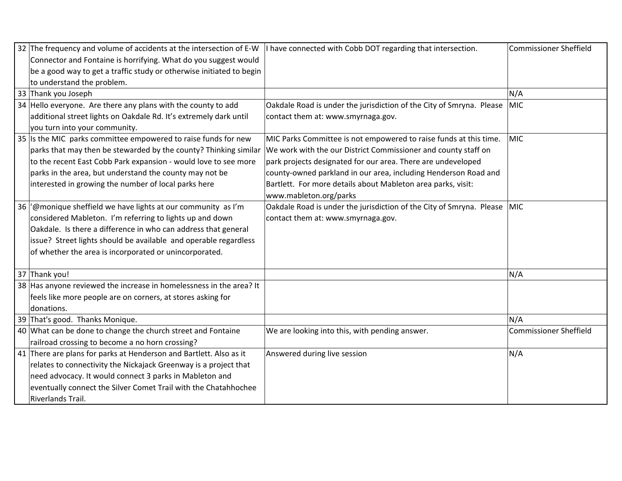| 32 The frequency and volume of accidents at the intersection of E-W  | I have connected with Cobb DOT regarding that intersection.              | <b>Commissioner Sheffield</b> |
|----------------------------------------------------------------------|--------------------------------------------------------------------------|-------------------------------|
| Connector and Fontaine is horrifying. What do you suggest would      |                                                                          |                               |
| be a good way to get a traffic study or otherwise initiated to begin |                                                                          |                               |
| to understand the problem.                                           |                                                                          |                               |
| 33 Thank you Joseph                                                  |                                                                          | N/A                           |
| 34 Hello everyone. Are there any plans with the county to add        | Oakdale Road is under the jurisdiction of the City of Smryna. Please     | MIC                           |
| additional street lights on Oakdale Rd. It's extremely dark until    | contact them at: www.smyrnaga.gov.                                       |                               |
| you turn into your community.                                        |                                                                          |                               |
| 35 Is the MIC parks committee empowered to raise funds for new       | MIC Parks Committee is not empowered to raise funds at this time.        | <b>MIC</b>                    |
| parks that may then be stewarded by the county? Thinking similar     | We work with the our District Commissioner and county staff on           |                               |
| to the recent East Cobb Park expansion - would love to see more      | park projects designated for our area. There are undeveloped             |                               |
| parks in the area, but understand the county may not be              | county-owned parkland in our area, including Henderson Road and          |                               |
| interested in growing the number of local parks here                 | Bartlett. For more details about Mableton area parks, visit:             |                               |
|                                                                      | www.mableton.org/parks                                                   |                               |
| 36   @monique sheffield we have lights at our community as I'm       | Oakdale Road is under the jurisdiction of the City of Smryna. Please MIC |                               |
| considered Mableton. I'm referring to lights up and down             | contact them at: www.smyrnaga.gov.                                       |                               |
| Oakdale. Is there a difference in who can address that general       |                                                                          |                               |
| issue? Street lights should be available and operable regardless     |                                                                          |                               |
| of whether the area is incorporated or unincorporated.               |                                                                          |                               |
| 37 Thank you!                                                        |                                                                          | N/A                           |
| 38 Has anyone reviewed the increase in homelessness in the area? It  |                                                                          |                               |
| feels like more people are on corners, at stores asking for          |                                                                          |                               |
| donations.                                                           |                                                                          |                               |
| 39 That's good. Thanks Monique.                                      |                                                                          | N/A                           |
| 40 What can be done to change the church street and Fontaine         | We are looking into this, with pending answer.                           | <b>Commissioner Sheffield</b> |
| railroad crossing to become a no horn crossing?                      |                                                                          |                               |
| 41 There are plans for parks at Henderson and Bartlett. Also as it   | Answered during live session                                             | N/A                           |
| relates to connectivity the Nickajack Greenway is a project that     |                                                                          |                               |
| need advocacy. It would connect 3 parks in Mableton and              |                                                                          |                               |
| eventually connect the Silver Comet Trail with the Chatahhochee      |                                                                          |                               |
| Riverlands Trail.                                                    |                                                                          |                               |